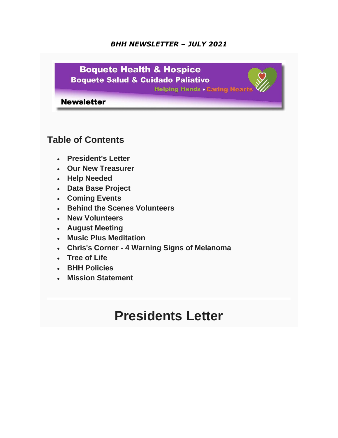### *BHH NEWSLETTER – JULY 2021*



### **Table of Contents**

- **President's Letter**
- **Our New Treasurer**
- **Help Needed**
- **Data Base Project**
- **Coming Events**
- **Behind the Scenes Volunteers**
- **New Volunteers**
- **August Meeting**
- **Music Plus Meditation**
- **Chris's Corner - 4 Warning Signs of Melanoma**
- **Tree of Life**
- **BHH Policies**
- **Mission Statement**

### **Presidents Letter**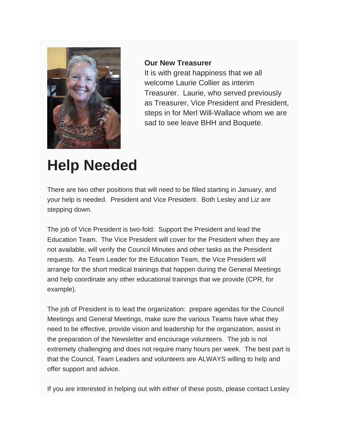

#### **Our New Treasurer**

It is with great happiness that we all welcome Laurie Collier as interim Treasurer. Laurie, who served previously as Treasurer, Vice President and President, steps in for Merl Will-Wallace whom we are sad to see leave BHH and Boquete.

## **Help Needed**

There are two other positions that will need to be filled starting in January, and your help is needed. President and Vice President. Both Lesley and Liz are stepping down.

The job of Vice President is two-fold: Support the President and lead the Education Team. The Vice President will cover for the President when they are not available, will verify the Council Minutes and other tasks as the President requests. As Team Leader for the Education Team, the Vice President will arrange for the short medical trainings that happen during the General Meetings and help coordinate any other educational trainings that we provide (CPR, for example).

The job of President is to lead the organization: prepare agendas for the Council Meetings and General Meetings, make sure the various Teams have what they need to be effective, provide vision and leadership for the organization, assist in the preparation of the Newsletter and encourage volunteers. The job is not extremely challenging and does not require many hours per week. The best part is that the Council, Team Leaders and volunteers are ALWAYS willing to help and offer support and advice.

If you are interested in helping out with either of these posts, please contact Lesley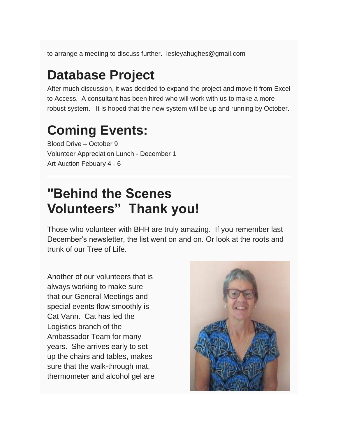to arrange a meeting to discuss further. lesleyahughes@gmail.com

## **Database Project**

After much discussion, it was decided to expand the project and move it from Excel to Access. A consultant has been hired who will work with us to make a more robust system. It is hoped that the new system will be up and running by October.

## **Coming Events:**

Blood Drive – October 9 Volunteer Appreciation Lunch - December 1 Art Auction Febuary 4 - 6

## **"Behind the Scenes Volunteers" Thank you!**

Those who volunteer with BHH are truly amazing. If you remember last December's newsletter, the list went on and on. Or look at the roots and trunk of our Tree of Life.

Another of our volunteers that is always working to make sure that our General Meetings and special events flow smoothly is Cat Vann. Cat has led the Logistics branch of the Ambassador Team for many years. She arrives early to set up the chairs and tables, makes sure that the walk-through mat, thermometer and alcohol gel are

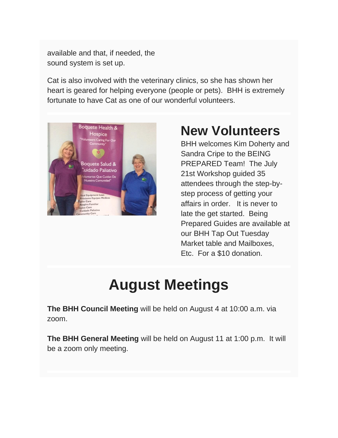available and that, if needed, the sound system is set up.

Cat is also involved with the veterinary clinics, so she has shown her heart is geared for helping everyone (people or pets). BHH is extremely fortunate to have Cat as one of our wonderful volunteers.



## **New Volunteers**

BHH welcomes Kim Doherty and Sandra Cripe to the BEING PREPARED Team! The July 21st Workshop guided 35 attendees through the step-bystep process of getting your affairs in order. It is never to late the get started. Being Prepared Guides are available at our BHH Tap Out Tuesday Market table and Mailboxes, Etc. For a \$10 donation.

# **August Meetings**

**The BHH Council Meeting** will be held on August 4 at 10:00 a.m. via zoom.

**The BHH General Meeting** will be held on August 11 at 1:00 p.m. It will be a zoom only meeting.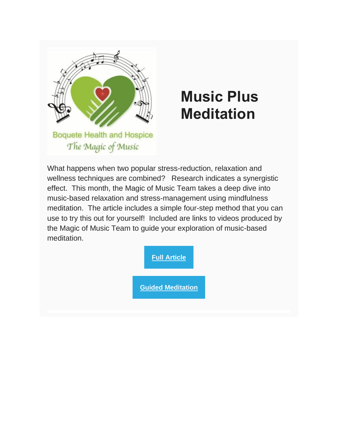

# **Music Plus Meditation**

What happens when two popular stress-reduction, relaxation and wellness techniques are combined? Research indicates a synergistic effect. This month, the Magic of Music Team takes a deep dive into music-based relaxation and stress-management using mindfulness meditation. The article includes a simple four-step method that you can use to try this out for yourself! Included are links to videos produced by the Magic of Music Team to guide your exploration of music-based meditation.

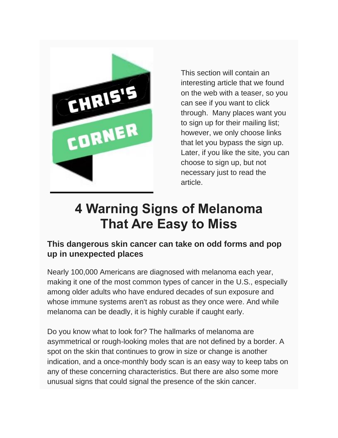

This section will contain an interesting article that we found on the web with a teaser, so you can see if you want to click through. Many places want you to sign up for their mailing list; however, we only choose links that let you bypass the sign up. Later, if you like the site, you can choose to sign up, but not necessary just to read the article.

## **4 Warning Signs of Melanoma That Are Easy to Miss**

### **This dangerous skin cancer can take on odd forms and pop up in unexpected places**

Nearly 100,000 Americans are diagnosed with melanoma each year, making it one of the most common types of cancer in the U.S., especially among older adults who have endured decades of sun exposure and whose immune systems aren't as robust as they once were. And while melanoma can be deadly, it is highly curable if caught early.

Do you know what to look for? The hallmarks of melanoma are asymmetrical or rough-looking moles that are not defined by a border. A spot on the skin that continues to grow in size or change is another indication, and a once-monthly body scan is an easy way to keep tabs on any of these concerning characteristics. But there are also some more unusual signs that could signal the presence of the skin cancer.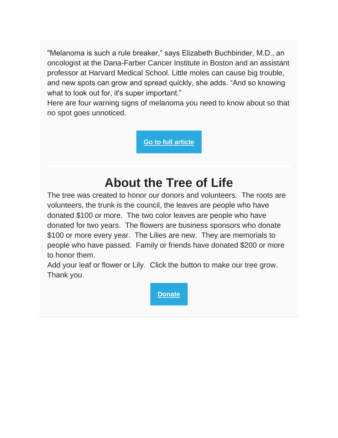"Melanoma is such a rule breaker," says Elizabeth Buchbinder, M.D., an oncologist at the Dana-Farber Cancer Institute in Boston and an assistant professor at Harvard Medical School. Little moles can cause big trouble, and new spots can grow and spread quickly, she adds. "And so knowing what to look out for, it's super important."

Here are four warning signs of melanoma you need to know about so that no spot goes unnoticed.

**[Go to full article](https://www.aarp.org/health/conditions-treatments/info-2021/melanoma-skin-cancer-risk.html?cmp=EMC-DSO-NLC-RSS---CTRL-071321-P1-5626689&ET_CID=5626689&ET_RID=43717712&encparam=JUnvfwiF2ZQTVEpprr6Excjvfqwv+5bkSPaADqsqIK0=)**

## **About the Tree of Life**

The tree was created to honor our donors and volunteers. The roots are volunteers, the trunk is the council, the leaves are people who have donated \$100 or more. The two color leaves are people who have donated for two years. The flowers are business sponsors who donate \$100 or more every year. The Lilies are new. They are memorials to people who have passed. Family or friends have donated \$200 or more to honor them.

Add your leaf or flower or Lily. Click the button to make our tree grow. Thank you.

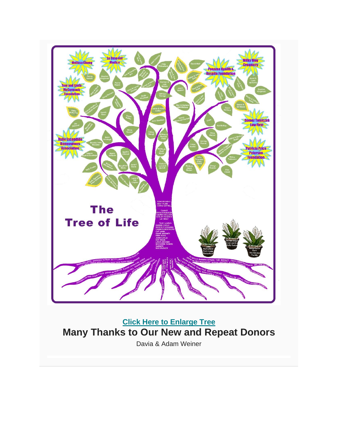

**[Click Here to Enlarge Tree](https://www.boquetehealthandhospice.org/tree.html) Many Thanks to Our New and Repeat Donors**

Davia & Adam Weiner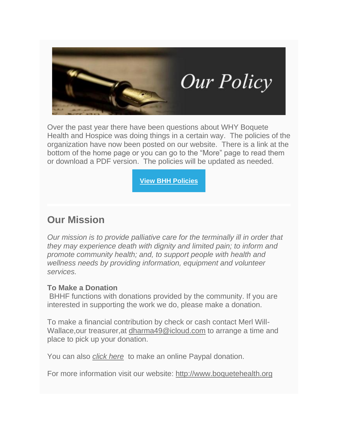

Over the past year there have been questions about WHY Boquete Health and Hospice was doing things in a certain way. The policies of the organization have now been posted on our website. There is a link at the bottom of the home page or you can go to the "More" page to read them or download a PDF version. The policies will be updated as needed.

**[View BHH Policies](https://boquetehealth.org/bhh-policies)**

### **Our Mission**

*Our mission is to provide palliative care for the terminally ill in order that they may experience death with dignity and limited pain; to inform and promote community health; and, to support people with health and wellness needs by providing information, equipment and volunteer services.*

### **To Make a Donation**

BHHF functions with donations provided by the community. If you are interested in supporting the work we do, please make a donation.

To make a financial contribution by check or cash contact Merl Will-Wallace,our treasurer,at [dharma49@icloud.com](mailto:dharma49@icloud.com?subject=Donation&body=I%20would%20like%20to%20make%20a%20donation.) to arrange a time and place to pick up your donation.

You can also *[click here](https://boquetehealth.org/please-donate)* to make an online Paypal donation.

For more information visit our website: [http://www.boquetehealth.org](http://www.boquetehealth.org/)